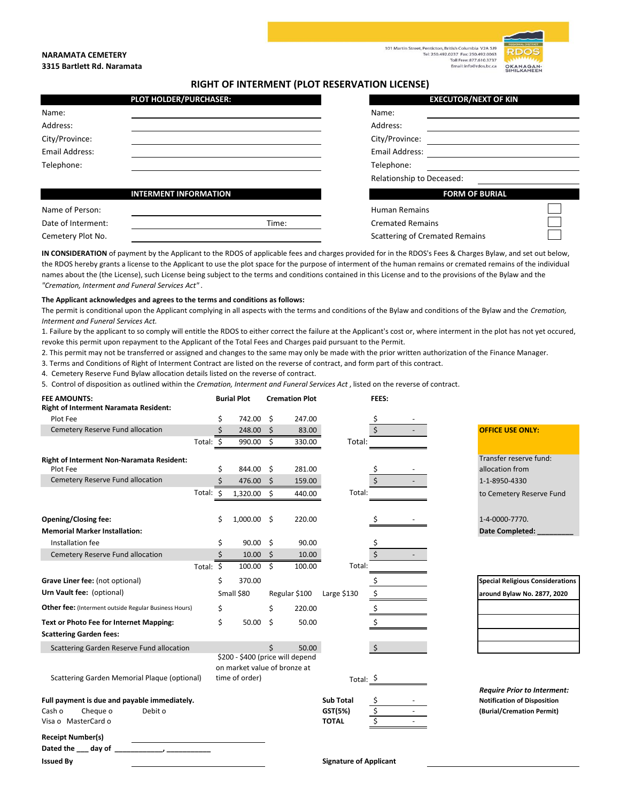# **NARAMATA CEMETERY 3315 Bartlett Rd. Naramata**

101 Martin Street, Penticton, British Columbia V2A 5J9 Tel: 250.492.0237 Fax: 250.492.0063 Toll Free: 877.610.3737<br>Email: info@rdos.bc.ca



**RIGHT OF INTERMENT (PLOT RESERVATION LICENSE)**

|                       | PLOT HOLDER/PURCHASER:       |       |                       | <b>EXECUTOR/NEXT OF KIN</b>           |  |  |
|-----------------------|------------------------------|-------|-----------------------|---------------------------------------|--|--|
| Name:                 |                              |       | Name:                 |                                       |  |  |
| Address:              |                              |       | Address:              |                                       |  |  |
| City/Province:        |                              |       |                       | City/Province:                        |  |  |
| <b>Email Address:</b> |                              |       |                       | Email Address:                        |  |  |
| Telephone:            |                              |       |                       | Telephone:                            |  |  |
|                       |                              |       |                       | Relationship to Deceased:             |  |  |
|                       | <b>INTERMENT INFORMATION</b> |       | <b>FORM OF BURIAL</b> |                                       |  |  |
| Name of Person:       |                              |       |                       | <b>Human Remains</b>                  |  |  |
| Date of Interment:    |                              | Time: |                       | <b>Cremated Remains</b>               |  |  |
| Cemetery Plot No.     |                              |       |                       | <b>Scattering of Cremated Remains</b> |  |  |

**IN CONSIDERATION** of payment by the Applicant to the RDOS of applicable fees and charges provided for in the RDOS's Fees & Charges Bylaw, and set out below, the RDOS hereby grants a license to the Applicant to use the plot space for the purpose of interment of the human remains or cremated remains of the individual names about the (the License), such License being subject to the terms and conditions contained in this License and to the provisions of the Bylaw and the *"Cremation, Interment and Funeral Services Act"* .

## **The Applicant acknowledges and agrees to the terms and conditions as follows:**

The permit is conditional upon the Applicant complying in all aspects with the terms and conditions of the Bylaw and conditions of the Bylaw and the *Cremation, Interment and Funeral Services Act.* 

1. Failure by the applicant to so comply will entitle the RDOS to either correct the failure at the Applicant's cost or, where interment in the plot has not yet occured, revoke this permit upon repayment to the Applicant of the Total Fees and Charges paid pursuant to the Permit.

2. This permit may not be transferred or assigned and changes to the same may only be made with the prior written authorization of the Finance Manager.

3. Terms and Conditions of Right of Interment Contract are listed on the reverse of contract, and form part of this contract.

4. Cemetery Reserve Fund Bylaw allocation details listed on the reverse of contract.

5. Control of disposition as outlined within the *Cremation, Interment and Funeral Services Act* , listed on the reverse of contract.

| <b>FEE AMOUNTS:</b>                                          |           | <b>Burial Plot</b>           |      | <b>Cremation Plot</b>            |                               | FEES:                                                                    |
|--------------------------------------------------------------|-----------|------------------------------|------|----------------------------------|-------------------------------|--------------------------------------------------------------------------|
| <b>Right of Interment Naramata Resident:</b><br>Plot Fee     |           | 742.00                       | -\$  | 247.00                           |                               |                                                                          |
| Cemetery Reserve Fund allocation                             | \$<br>\$  | 248.00                       | - \$ | 83.00                            |                               | \$<br><b>OFFICE USE ONLY:</b>                                            |
|                                                              | Total: \$ | 990.00                       | \$   | 330.00                           | Total:                        |                                                                          |
|                                                              |           |                              |      |                                  |                               |                                                                          |
| <b>Right of Interment Non-Naramata Resident:</b>             |           |                              |      |                                  |                               | Transfer reserve fund:                                                   |
| Plot Fee                                                     | \$        | 844.00 \$                    |      | 281.00                           |                               | allocation from                                                          |
| Cemetery Reserve Fund allocation                             | \$        | 476.00 \$                    |      | 159.00                           |                               | 1-1-8950-4330                                                            |
|                                                              | Total: \$ | $1,320.00$ \$                |      | 440.00                           | Total:                        | to Cemetery Reserve Fund                                                 |
| <b>Opening/Closing fee:</b>                                  | Ś         | 1,000.00 \$                  |      | 220.00                           |                               | 1-4-0000-7770.                                                           |
| <b>Memorial Marker Installation:</b>                         |           |                              |      |                                  |                               | <b>Date Completed:</b>                                                   |
| Installation fee                                             | \$        | $90.00$ \$                   |      | 90.00                            |                               |                                                                          |
| Cemetery Reserve Fund allocation                             | \$        | $10.00$ \$                   |      | 10.00                            |                               |                                                                          |
|                                                              | Total: \$ | $100.00$ \$                  |      | 100.00                           | Total:                        |                                                                          |
| Grave Liner fee: (not optional)                              | \$        | 370.00                       |      |                                  |                               | <b>Special Religious Considerations</b>                                  |
| Urn Vault fee: (optional)                                    |           | Small \$80                   |      | Regular \$100                    | Large \$130                   | \$<br>around Bylaw No. 2877, 2020                                        |
| <b>Other fee:</b> (Interment outside Regular Business Hours) | \$        |                              | \$   | 220.00                           |                               |                                                                          |
| Text or Photo Fee for Internet Mapping:                      |           | \$<br>50.00                  | \$   | 50.00                            |                               |                                                                          |
| <b>Scattering Garden fees:</b>                               |           |                              |      |                                  |                               |                                                                          |
| Scattering Garden Reserve Fund allocation                    |           |                              | \$   | 50.00                            |                               | $\zeta$                                                                  |
|                                                              |           | on market value of bronze at |      | \$200 - \$400 (price will depend |                               |                                                                          |
| Scattering Garden Memorial Plaque (optional)                 |           | time of order)               |      |                                  | Total: \$                     |                                                                          |
| Full payment is due and payable immediately.                 |           |                              |      |                                  | <b>Sub Total</b>              | <b>Require Prior to Interment:</b><br><b>Notification of Disposition</b> |
| Cheque o<br>Cash o<br>Debit o                                |           |                              |      |                                  | GST(5%)                       | (Burial/Cremation Permit)                                                |
| Visa o MasterCard o                                          |           |                              |      |                                  | <b>TOTAL</b>                  |                                                                          |
| <b>Receipt Number(s)</b>                                     |           |                              |      |                                  |                               |                                                                          |
| Dated the ___ day of __                                      |           |                              |      |                                  |                               |                                                                          |
| <b>Issued By</b>                                             |           |                              |      |                                  | <b>Signature of Applicant</b> |                                                                          |